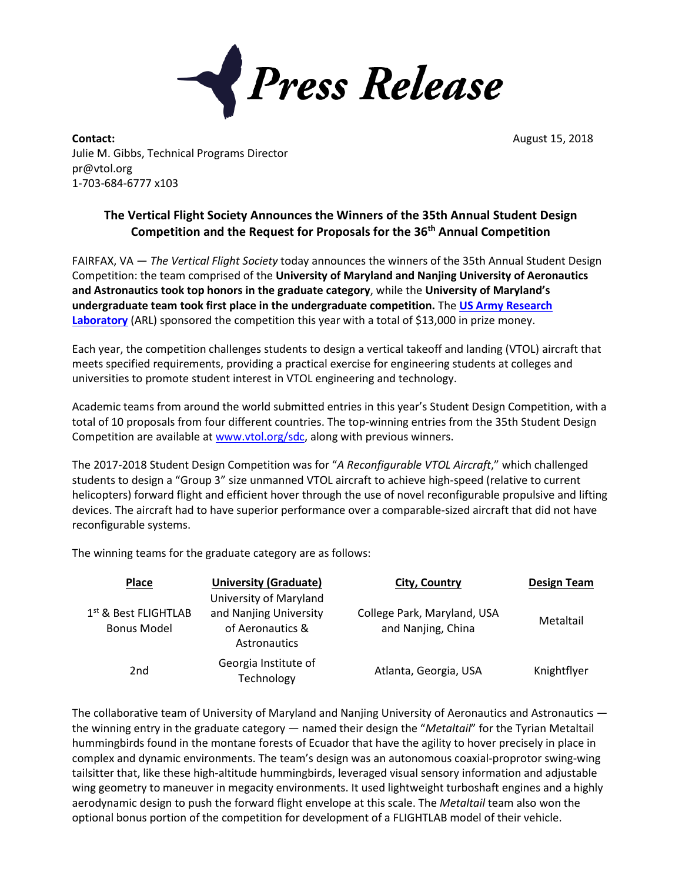

**Contact:** August 15, 2018 Julie M. Gibbs, Technical Programs Director pr@vtol.org 1-703-684-6777 x103

## **The Vertical Flight Society Announces the Winners of the 35th Annual Student Design Competition and the Request for Proposals for the 36th Annual Competition**

FAIRFAX, VA — *The Vertical Flight Society* today announces the winners of the 35th Annual Student Design Competition: the team comprised of the **University of Maryland and Nanjing University of Aeronautics and Astronautics took top honors in the graduate category**, while the **University of Maryland's undergraduate team took first place in the undergraduate competition.** The **[US Army Research](https://www.arl.army.mil/www/default.cfm)  [Laboratory](https://www.arl.army.mil/www/default.cfm)** (ARL) sponsored the competition this year with a total of \$13,000 in prize money.

Each year, the competition challenges students to design a vertical takeoff and landing (VTOL) aircraft that meets specified requirements, providing a practical exercise for engineering students at colleges and universities to promote student interest in VTOL engineering and technology.

Academic teams from around the world submitted entries in this year's Student Design Competition, with a total of 10 proposals from four different countries. The top-winning entries from the 35th Student Design Competition are available a[t www.vtol.org/sdc,](http://www.vtol.org/sdc) along with previous winners.

The 2017-2018 Student Design Competition was for "*A Reconfigurable VTOL Aircraft*," which challenged students to design a "Group 3" size unmanned VTOL aircraft to achieve high-speed (relative to current helicopters) forward flight and efficient hover through the use of novel reconfigurable propulsive and lifting devices. The aircraft had to have superior performance over a comparable-sized aircraft that did not have reconfigurable systems.

The winning teams for the graduate category are as follows:

| <b>Place</b>                                 | <b>University (Graduate)</b>                                                         | City, Country                                     | <b>Design Team</b> |
|----------------------------------------------|--------------------------------------------------------------------------------------|---------------------------------------------------|--------------------|
| $1st$ & Best FLIGHTLAB<br><b>Bonus Model</b> | University of Maryland<br>and Nanjing University<br>of Aeronautics &<br>Astronautics | College Park, Maryland, USA<br>and Nanjing, China | Metaltail          |
| 2 <sub>nd</sub>                              | Georgia Institute of<br>Technology                                                   | Atlanta, Georgia, USA                             | Knightflyer        |

The collaborative team of University of Maryland and Nanjing University of Aeronautics and Astronautics the winning entry in the graduate category — named their design the "*Metaltail*" for the Tyrian Metaltail hummingbirds found in the montane forests of Ecuador that have the agility to hover precisely in place in complex and dynamic environments. The team's design was an autonomous coaxial-proprotor swing-wing tailsitter that, like these high-altitude hummingbirds, leveraged visual sensory information and adjustable wing geometry to maneuver in megacity environments. It used lightweight turboshaft engines and a highly aerodynamic design to push the forward flight envelope at this scale. The *Metaltail* team also won the optional bonus portion of the competition for development of a FLIGHTLAB model of their vehicle.